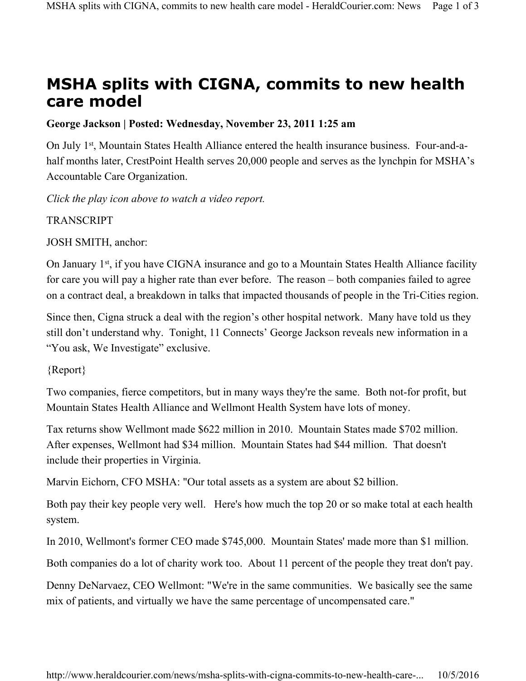## **MSHA splits with CIGNA, commits to new health care model**

## **George Jackson | Posted: Wednesday, November 23, 2011 1:25 am**

On July 1<sup>st</sup>, Mountain States Health Alliance entered the health insurance business. Four-and-ahalf months later, CrestPoint Health serves 20,000 people and serves as the lynchpin for MSHA's Accountable Care Organization.

*Click the play icon above to watch a video report.*

**TRANSCRIPT** 

JOSH SMITH, anchor:

On January 1<sup>st</sup>, if you have CIGNA insurance and go to a Mountain States Health Alliance facility for care you will pay a higher rate than ever before. The reason – both companies failed to agree on a contract deal, a breakdown in talks that impacted thousands of people in the Tri-Cities region.

Since then, Cigna struck a deal with the region's other hospital network. Many have told us they still don't understand why. Tonight, 11 Connects' George Jackson reveals new information in a "You ask, We Investigate" exclusive.

{Report}

Two companies, fierce competitors, but in many ways they're the same. Both not-for profit, but Mountain States Health Alliance and Wellmont Health System have lots of money.

Tax returns show Wellmont made \$622 million in 2010. Mountain States made \$702 million. After expenses, Wellmont had \$34 million. Mountain States had \$44 million. That doesn't include their properties in Virginia.

Marvin Eichorn, CFO MSHA: "Our total assets as a system are about \$2 billion.

Both pay their key people very well. Here's how much the top 20 or so make total at each health system.

In 2010, Wellmont's former CEO made \$745,000. Mountain States' made more than \$1 million.

Both companies do a lot of charity work too. About 11 percent of the people they treat don't pay.

Denny DeNarvaez, CEO Wellmont: "We're in the same communities. We basically see the same mix of patients, and virtually we have the same percentage of uncompensated care."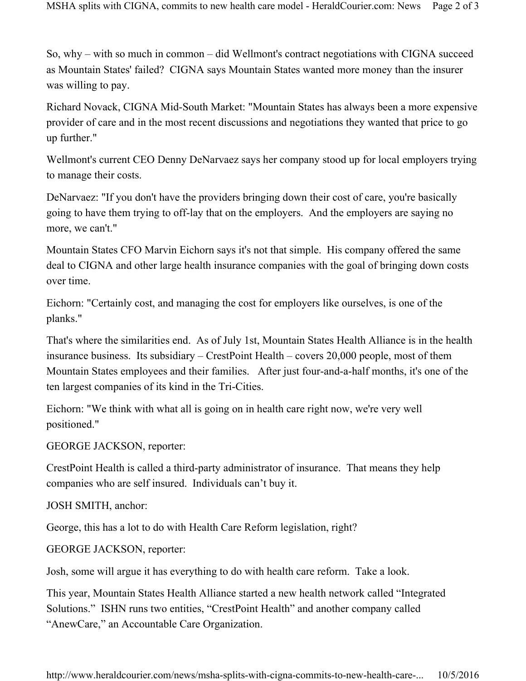So, why – with so much in common – did Wellmont's contract negotiations with CIGNA succeed as Mountain States' failed? CIGNA says Mountain States wanted more money than the insurer was willing to pay.

Richard Novack, CIGNA Mid-South Market: "Mountain States has always been a more expensive provider of care and in the most recent discussions and negotiations they wanted that price to go up further."

Wellmont's current CEO Denny DeNarvaez says her company stood up for local employers trying to manage their costs.

DeNarvaez: "If you don't have the providers bringing down their cost of care, you're basically going to have them trying to off-lay that on the employers. And the employers are saying no more, we can't."

Mountain States CFO Marvin Eichorn says it's not that simple. His company offered the same deal to CIGNA and other large health insurance companies with the goal of bringing down costs over time.

Eichorn: "Certainly cost, and managing the cost for employers like ourselves, is one of the planks."

That's where the similarities end. As of July 1st, Mountain States Health Alliance is in the health insurance business. Its subsidiary – CrestPoint Health – covers 20,000 people, most of them Mountain States employees and their families. After just four-and-a-half months, it's one of the ten largest companies of its kind in the Tri-Cities.

Eichorn: "We think with what all is going on in health care right now, we're very well positioned."

GEORGE JACKSON, reporter:

CrestPoint Health is called a third-party administrator of insurance. That means they help companies who are self insured. Individuals can't buy it.

JOSH SMITH, anchor:

George, this has a lot to do with Health Care Reform legislation, right?

GEORGE JACKSON, reporter:

Josh, some will argue it has everything to do with health care reform. Take a look.

This year, Mountain States Health Alliance started a new health network called "Integrated Solutions." ISHN runs two entities, "CrestPoint Health" and another company called "AnewCare," an Accountable Care Organization.